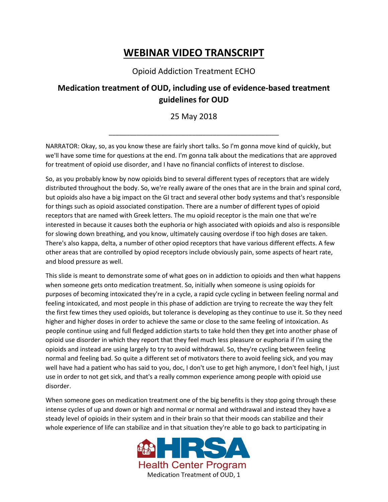## **WEBINAR VIDEO TRANSCRIPT**

## Opioid Addiction Treatment ECHO

## **Medication treatment of OUD, including use of evidence-based treatment guidelines for OUD**

## 25 May 2018

\_\_\_\_\_\_\_\_\_\_\_\_\_\_\_\_\_\_\_\_\_\_\_\_\_\_\_\_\_\_\_\_\_\_\_\_\_\_\_\_\_\_\_\_\_\_\_\_\_

NARRATOR: Okay, so, as you know these are fairly short talks. So I'm gonna move kind of quickly, but we'll have some time for questions at the end. I'm gonna talk about the medications that are approved for treatment of opioid use disorder, and I have no financial conflicts of interest to disclose.

So, as you probably know by now opioids bind to several different types of receptors that are widely distributed throughout the body. So, we're really aware of the ones that are in the brain and spinal cord, but opioids also have a big impact on the GI tract and several other body systems and that's responsible for things such as opioid associated constipation. There are a number of different types of opioid receptors that are named with Greek letters. The mu opioid receptor is the main one that we're interested in because it causes both the euphoria or high associated with opioids and also is responsible for slowing down breathing, and you know, ultimately causing overdose if too high doses are taken. There's also kappa, delta, a number of other opiod receptors that have various different effects. A few other areas that are controlled by opiod receptors include obviously pain, some aspects of heart rate, and blood pressure as well.

This slide is meant to demonstrate some of what goes on in addiction to opioids and then what happens when someone gets onto medication treatment. So, initially when someone is using opioids for purposes of becoming intoxicated they're in a cycle, a rapid cycle cycling in between feeling normal and feeling intoxicated, and most people in this phase of addiction are trying to recreate the way they felt the first few times they used opioids, but tolerance is developing as they continue to use it. So they need higher and higher doses in order to achieve the same or close to the same feeling of intoxication. As people continue using and full fledged addiction starts to take hold then they get into another phase of opioid use disorder in which they report that they feel much less pleasure or euphoria if I'm using the opioids and instead are using largely to try to avoid withdrawal. So, they're cycling between feeling normal and feeling bad. So quite a different set of motivators there to avoid feeling sick, and you may well have had a patient who has said to you, doc, I don't use to get high anymore, I don't feel high, I just use in order to not get sick, and that's a really common experience among people with opioid use disorder.

When someone goes on medication treatment one of the big benefits is they stop going through these intense cycles of up and down or high and normal or normal and withdrawal and instead they have a steady level of opioids in their system and in their brain so that their moods can stabilize and their whole experience of life can stabilize and in that situation they're able to go back to participating in

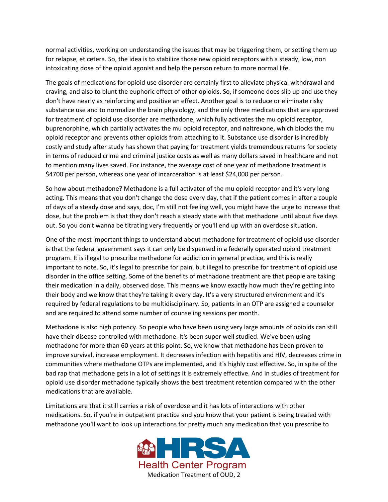normal activities, working on understanding the issues that may be triggering them, or setting them up for relapse, et cetera. So, the idea is to stabilize those new opioid receptors with a steady, low, non intoxicating dose of the opioid agonist and help the person return to more normal life.

The goals of medications for opioid use disorder are certainly first to alleviate physical withdrawal and craving, and also to blunt the euphoric effect of other opioids. So, if someone does slip up and use they don't have nearly as reinforcing and positive an effect. Another goal is to reduce or eliminate risky substance use and to normalize the brain physiology, and the only three medications that are approved for treatment of opioid use disorder are methadone, which fully activates the mu opioid receptor, buprenorphine, which partially activates the mu opioid receptor, and naltrexone, which blocks the mu opioid receptor and prevents other opioids from attaching to it. Substance use disorder is incredibly costly and study after study has shown that paying for treatment yields tremendous returns for society in terms of reduced crime and criminal justice costs as well as many dollars saved in healthcare and not to mention many lives saved. For instance, the average cost of one year of methadone treatment is \$4700 per person, whereas one year of incarceration is at least \$24,000 per person.

So how about methadone? Methadone is a full activator of the mu opioid receptor and it's very long acting. This means that you don't change the dose every day, that if the patient comes in after a couple of days of a steady dose and says, doc, I'm still not feeling well, you might have the urge to increase that dose, but the problem is that they don't reach a steady state with that methadone until about five days out. So you don't wanna be titrating very frequently or you'll end up with an overdose situation.

One of the most important things to understand about methadone for treatment of opioid use disorder is that the federal government says it can only be dispensed in a federally operated opioid treatment program. It is illegal to prescribe methadone for addiction in general practice, and this is really important to note. So, it's legal to prescribe for pain, but illegal to prescribe for treatment of opioid use disorder in the office setting. Some of the benefits of methadone treatment are that people are taking their medication in a daily, observed dose. This means we know exactly how much they're getting into their body and we know that they're taking it every day. It's a very structured environment and it's required by federal regulations to be multidisciplinary. So, patients in an OTP are assigned a counselor and are required to attend some number of counseling sessions per month.

Methadone is also high potency. So people who have been using very large amounts of opioids can still have their disease controlled with methadone. It's been super well studied. We've been using methadone for more than 60 years at this point. So, we know that methadone has been proven to improve survival, increase employment. It decreases infection with hepatitis and HIV, decreases crime in communities where methadone OTPs are implemented, and it's highly cost effective. So, in spite of the bad rap that methadone gets in a lot of settings it is extremely effective. And in studies of treatment for opioid use disorder methadone typically shows the best treatment retention compared with the other medications that are available.

Limitations are that it still carries a risk of overdose and it has lots of interactions with other medications. So, if you're in outpatient practice and you know that your patient is being treated with methadone you'll want to look up interactions for pretty much any medication that you prescribe to

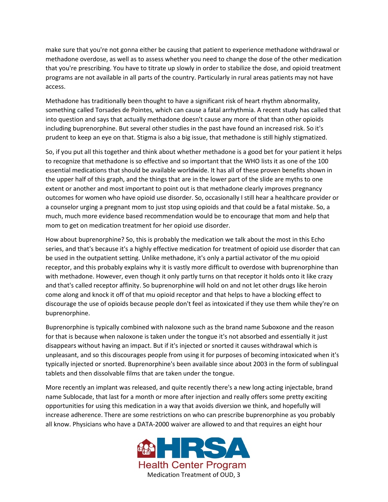make sure that you're not gonna either be causing that patient to experience methadone withdrawal or methadone overdose, as well as to assess whether you need to change the dose of the other medication that you're prescribing. You have to titrate up slowly in order to stabilize the dose, and opioid treatment programs are not available in all parts of the country. Particularly in rural areas patients may not have access.

Methadone has traditionally been thought to have a significant risk of heart rhythm abnormality, something called Torsades de Pointes, which can cause a fatal arrhythmia. A recent study has called that into question and says that actually methadone doesn't cause any more of that than other opioids including buprenorphine. But several other studies in the past have found an increased risk. So it's prudent to keep an eye on that. Stigma is also a big issue, that methadone is still highly stigmatized.

So, if you put all this together and think about whether methadone is a good bet for your patient it helps to recognize that methadone is so effective and so important that the WHO lists it as one of the 100 essential medications that should be available worldwide. It has all of these proven benefits shown in the upper half of this graph, and the things that are in the lower part of the slide are myths to one extent or another and most important to point out is that methadone clearly improves pregnancy outcomes for women who have opioid use disorder. So, occasionally I still hear a healthcare provider or a counselor urging a pregnant mom to just stop using opioids and that could be a fatal mistake. So, a much, much more evidence based recommendation would be to encourage that mom and help that mom to get on medication treatment for her opioid use disorder.

How about buprenorphine? So, this is probably the medication we talk about the most in this Echo series, and that's because it's a highly effective medication for treatment of opioid use disorder that can be used in the outpatient setting. Unlike methadone, it's only a partial activator of the mu opioid receptor, and this probably explains why it is vastly more difficult to overdose with buprenorphine than with methadone. However, even though it only partly turns on that receptor it holds onto it like crazy and that's called receptor affinity. So buprenorphine will hold on and not let other drugs like heroin come along and knock it off of that mu opioid receptor and that helps to have a blocking effect to discourage the use of opioids because people don't feel as intoxicated if they use them while they're on buprenorphine.

Buprenorphine is typically combined with naloxone such as the brand name Suboxone and the reason for that is because when naloxone is taken under the tongue it's not absorbed and essentially it just disappears without having an impact. But if it's injected or snorted it causes withdrawal which is unpleasant, and so this discourages people from using it for purposes of becoming intoxicated when it's typically injected or snorted. Buprenorphine's been available since about 2003 in the form of sublingual tablets and then dissolvable films that are taken under the tongue.

More recently an implant was released, and quite recently there's a new long acting injectable, brand name Sublocade, that last for a month or more after injection and really offers some pretty exciting opportunities for using this medication in a way that avoids diversion we think, and hopefully will increase adherence. There are some restrictions on who can prescribe buprenorphine as you probably all know. Physicians who have a DATA-2000 waiver are allowed to and that requires an eight hour

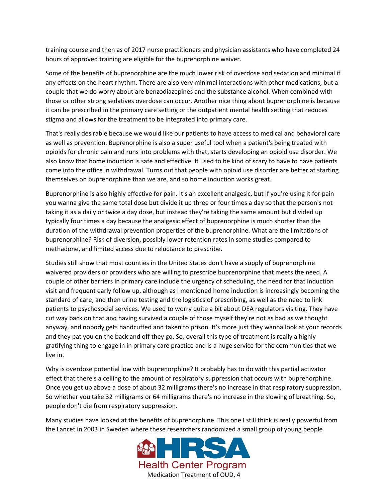training course and then as of 2017 nurse practitioners and physician assistants who have completed 24 hours of approved training are eligible for the buprenorphine waiver.

Some of the benefits of buprenorphine are the much lower risk of overdose and sedation and minimal if any effects on the heart rhythm. There are also very minimal interactions with other medications, but a couple that we do worry about are benzodiazepines and the substance alcohol. When combined with those or other strong sedatives overdose can occur. Another nice thing about buprenorphine is because it can be prescribed in the primary care setting or the outpatient mental health setting that reduces stigma and allows for the treatment to be integrated into primary care.

That's really desirable because we would like our patients to have access to medical and behavioral care as well as prevention. Buprenorphine is also a super useful tool when a patient's being treated with opioids for chronic pain and runs into problems with that, starts developing an opioid use disorder. We also know that home induction is safe and effective. It used to be kind of scary to have to have patients come into the office in withdrawal. Turns out that people with opioid use disorder are better at starting themselves on buprenorphine than we are, and so home induction works great.

Buprenorphine is also highly effective for pain. It's an excellent analgesic, but if you're using it for pain you wanna give the same total dose but divide it up three or four times a day so that the person's not taking it as a daily or twice a day dose, but instead they're taking the same amount but divided up typically four times a day because the analgesic effect of buprenorphine is much shorter than the duration of the withdrawal prevention properties of the buprenorphine. What are the limitations of buprenorphine? Risk of diversion, possibly lower retention rates in some studies compared to methadone, and limited access due to reluctance to prescribe.

Studies still show that most counties in the United States don't have a supply of buprenorphine waivered providers or providers who are willing to prescribe buprenorphine that meets the need. A couple of other barriers in primary care include the urgency of scheduling, the need for that induction visit and frequent early follow up, although as I mentioned home induction is increasingly becoming the standard of care, and then urine testing and the logistics of prescribing, as well as the need to link patients to psychosocial services. We used to worry quite a bit about DEA regulators visiting. They have cut way back on that and having survived a couple of those myself they're not as bad as we thought anyway, and nobody gets handcuffed and taken to prison. It's more just they wanna look at your records and they pat you on the back and off they go. So, overall this type of treatment is really a highly gratifying thing to engage in in primary care practice and is a huge service for the communities that we live in.

Why is overdose potential low with buprenorphine? It probably has to do with this partial activator effect that there's a ceiling to the amount of respiratory suppression that occurs with buprenorphine. Once you get up above a dose of about 32 milligrams there's no increase in that respiratory suppression. So whether you take 32 milligrams or 64 milligrams there's no increase in the slowing of breathing. So, people don't die from respiratory suppression.

Many studies have looked at the benefits of buprenorphine. This one I still think is really powerful from the Lancet in 2003 in Sweden where these researchers randomized a small group of young people

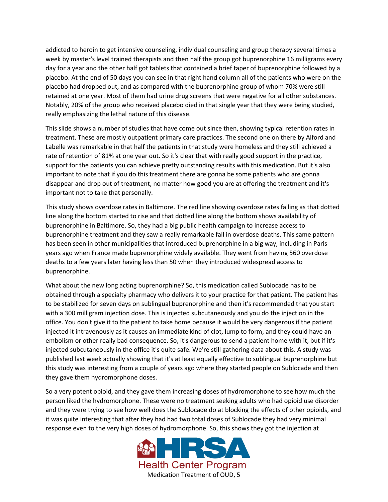addicted to heroin to get intensive counseling, individual counseling and group therapy several times a week by master's level trained therapists and then half the group got buprenorphine 16 milligrams every day for a year and the other half got tablets that contained a brief taper of buprenorphine followed by a placebo. At the end of 50 days you can see in that right hand column all of the patients who were on the placebo had dropped out, and as compared with the buprenorphine group of whom 70% were still retained at one year. Most of them had urine drug screens that were negative for all other substances. Notably, 20% of the group who received placebo died in that single year that they were being studied, really emphasizing the lethal nature of this disease.

This slide shows a number of studies that have come out since then, showing typical retention rates in treatment. These are mostly outpatient primary care practices. The second one on there by Alford and Labelle was remarkable in that half the patients in that study were homeless and they still achieved a rate of retention of 81% at one year out. So it's clear that with really good support in the practice, support for the patients you can achieve pretty outstanding results with this medication. But it's also important to note that if you do this treatment there are gonna be some patients who are gonna disappear and drop out of treatment, no matter how good you are at offering the treatment and it's important not to take that personally.

This study shows overdose rates in Baltimore. The red line showing overdose rates falling as that dotted line along the bottom started to rise and that dotted line along the bottom shows availability of buprenorphine in Baltimore. So, they had a big public health campaign to increase access to buprenorphine treatment and they saw a really remarkable fall in overdose deaths. This same pattern has been seen in other municipalities that introduced buprenorphine in a big way, including in Paris years ago when France made buprenorphine widely available. They went from having 560 overdose deaths to a few years later having less than 50 when they introduced widespread access to buprenorphine.

What about the new long acting buprenorphine? So, this medication called Sublocade has to be obtained through a specialty pharmacy who delivers it to your practice for that patient. The patient has to be stabilized for seven days on sublingual buprenorphine and then it's recommended that you start with a 300 milligram injection dose. This is injected subcutaneously and you do the injection in the office. You don't give it to the patient to take home because it would be very dangerous if the patient injected it intravenously as it causes an immediate kind of clot, lump to form, and they could have an embolism or other really bad consequence. So, it's dangerous to send a patient home with it, but if it's injected subcutaneously in the office it's quite safe. We're still gathering data about this. A study was published last week actually showing that it's at least equally effective to sublingual buprenorphine but this study was interesting from a couple of years ago where they started people on Sublocade and then they gave them hydromorphone doses.

So a very potent opioid, and they gave them increasing doses of hydromorphone to see how much the person liked the hydromorphone. These were no treatment seeking adults who had opioid use disorder and they were trying to see how well does the Sublocade do at blocking the effects of other opioids, and it was quite interesting that after they had had two total doses of Sublocade they had very minimal response even to the very high doses of hydromorphone. So, this shows they got the injection at

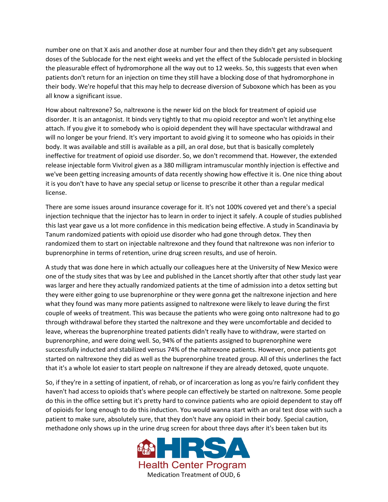number one on that X axis and another dose at number four and then they didn't get any subsequent doses of the Sublocade for the next eight weeks and yet the effect of the Sublocade persisted in blocking the pleasurable effect of hydromorphone all the way out to 12 weeks. So, this suggests that even when patients don't return for an injection on time they still have a blocking dose of that hydromorphone in their body. We're hopeful that this may help to decrease diversion of Suboxone which has been as you all know a significant issue.

How about naltrexone? So, naltrexone is the newer kid on the block for treatment of opioid use disorder. It is an antagonist. It binds very tightly to that mu opioid receptor and won't let anything else attach. If you give it to somebody who is opioid dependent they will have spectacular withdrawal and will no longer be your friend. It's very important to avoid giving it to someone who has opioids in their body. It was available and still is available as a pill, an oral dose, but that is basically completely ineffective for treatment of opioid use disorder. So, we don't recommend that. However, the extended release injectable form Vivitrol given as a 380 milligram intramuscular monthly injection is effective and we've been getting increasing amounts of data recently showing how effective it is. One nice thing about it is you don't have to have any special setup or license to prescribe it other than a regular medical license.

There are some issues around insurance coverage for it. It's not 100% covered yet and there's a special injection technique that the injector has to learn in order to inject it safely. A couple of studies published this last year gave us a lot more confidence in this medication being effective. A study in Scandinavia by Tanum randomized patients with opioid use disorder who had gone through detox. They then randomized them to start on injectable naltrexone and they found that naltrexone was non inferior to buprenorphine in terms of retention, urine drug screen results, and use of heroin.

A study that was done here in which actually our colleagues here at the University of New Mexico were one of the study sites that was by Lee and published in the Lancet shortly after that other study last year was larger and here they actually randomized patients at the time of admission into a detox setting but they were either going to use buprenorphine or they were gonna get the naltrexone injection and here what they found was many more patients assigned to naltrexone were likely to leave during the first couple of weeks of treatment. This was because the patients who were going onto naltrexone had to go through withdrawal before they started the naltrexone and they were uncomfortable and decided to leave, whereas the buprenorphine treated patients didn't really have to withdraw, were started on buprenorphine, and were doing well. So, 94% of the patients assigned to buprenorphine were successfully inducted and stabilized versus 74% of the naltrexone patients. However, once patients got started on naltrexone they did as well as the buprenorphine treated group. All of this underlines the fact that it's a whole lot easier to start people on naltrexone if they are already detoxed, quote unquote.

So, if they're in a setting of inpatient, of rehab, or of incarceration as long as you're fairly confident they haven't had access to opioids that's where people can effectively be started on naltrexone. Some people do this in the office setting but it's pretty hard to convince patients who are opioid dependent to stay off of opioids for long enough to do this induction. You would wanna start with an oral test dose with such a patient to make sure, absolutely sure, that they don't have any opioid in their body. Special caution, methadone only shows up in the urine drug screen for about three days after it's been taken but its